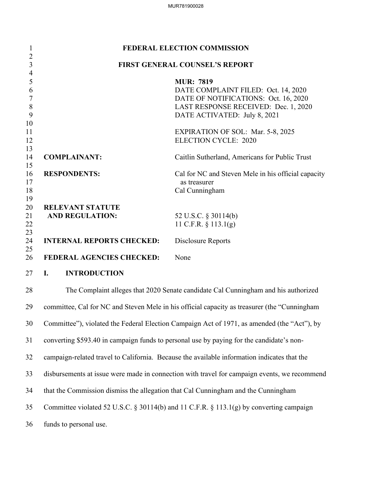| $\mathbf{1}$                                               | FEDERAL ELECTION COMMISSION                                                                  |                                                                                                                                                                         |  |
|------------------------------------------------------------|----------------------------------------------------------------------------------------------|-------------------------------------------------------------------------------------------------------------------------------------------------------------------------|--|
| $\overline{2}$<br>$\overline{3}$                           | <b>FIRST GENERAL COUNSEL'S REPORT</b>                                                        |                                                                                                                                                                         |  |
| $\overline{4}$<br>5<br>6<br>$\overline{7}$<br>$\,8\,$<br>9 |                                                                                              | <b>MUR: 7819</b><br>DATE COMPLAINT FILED: Oct. 14, 2020<br>DATE OF NOTIFICATIONS: Oct. 16, 2020<br>LAST RESPONSE RECEIVED: Dec. 1, 2020<br>DATE ACTIVATED: July 8, 2021 |  |
| 10<br>11<br>12<br>13                                       |                                                                                              | <b>EXPIRATION OF SOL: Mar. 5-8, 2025</b><br><b>ELECTION CYCLE: 2020</b>                                                                                                 |  |
| 14<br>15                                                   | <b>COMPLAINANT:</b>                                                                          | Caitlin Sutherland, Americans for Public Trust                                                                                                                          |  |
| 16<br>17<br>18<br>19                                       | <b>RESPONDENTS:</b>                                                                          | Cal for NC and Steven Mele in his official capacity<br>as treasurer<br>Cal Cunningham                                                                                   |  |
| 20<br>21<br>22<br>23                                       | <b>RELEVANT STATUTE</b><br><b>AND REGULATION:</b>                                            | 52 U.S.C. § 30114(b)<br>11 C.F.R. $\S$ 113.1(g)                                                                                                                         |  |
| 24                                                         | <b>INTERNAL REPORTS CHECKED:</b>                                                             | Disclosure Reports                                                                                                                                                      |  |
| 25<br>26                                                   | <b>FEDERAL AGENCIES CHECKED:</b>                                                             | None                                                                                                                                                                    |  |
| 27                                                         | <b>INTRODUCTION</b><br>I.                                                                    |                                                                                                                                                                         |  |
| 28                                                         |                                                                                              | The Complaint alleges that 2020 Senate candidate Cal Cunningham and his authorized                                                                                      |  |
| 29                                                         | committee, Cal for NC and Steven Mele in his official capacity as treasurer (the "Cunningham |                                                                                                                                                                         |  |
| 30                                                         | Committee"), violated the Federal Election Campaign Act of 1971, as amended (the "Act"), by  |                                                                                                                                                                         |  |
| 31                                                         | converting \$593.40 in campaign funds to personal use by paying for the candidate's non-     |                                                                                                                                                                         |  |
| 32                                                         | campaign-related travel to California. Because the available information indicates that the  |                                                                                                                                                                         |  |
| 33                                                         | disbursements at issue were made in connection with travel for campaign events, we recommend |                                                                                                                                                                         |  |
| 34                                                         | that the Commission dismiss the allegation that Cal Cunningham and the Cunningham            |                                                                                                                                                                         |  |
| 35                                                         | Committee violated 52 U.S.C. § 30114(b) and 11 C.F.R. § 113.1(g) by converting campaign      |                                                                                                                                                                         |  |
| 36                                                         | funds to personal use.                                                                       |                                                                                                                                                                         |  |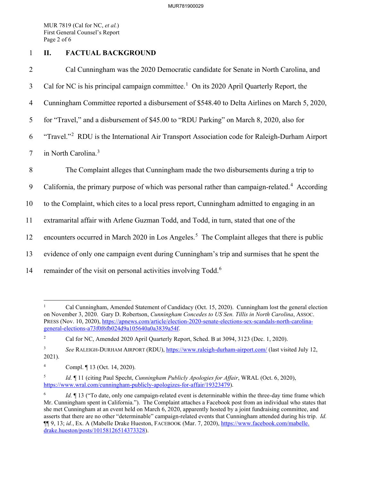MUR 7819 (Cal for NC, *et al.*) First General Counsel's Report Page 2 of 6

## 1 **II. FACTUAL BACKGROUND**

2 Cal Cunningham was the 2020 Democratic candidate for Senate in North Carolina, and 3 Cal for NC is his principal campaign committee.<sup>1</sup> On its 2020 April Quarterly Report, the 4 Cunningham Committee reported a disbursement of \$548.40 to Delta Airlines on March 5, 2020, 5 for "Travel," and a disbursement of \$45.00 to "RDU Parking" on March 8, 2020, also for 6 "Travel."<sup>2</sup> RDU is the International Air Transport Association code for Raleigh-Durham Airport 7 in North Carolina.<sup>3</sup> 8 The Complaint alleges that Cunningham made the two disbursements during a trip to 9 California, the primary purpose of which was personal rather than campaign-related.<sup>4</sup> According 10 to the Complaint, which cites to a local press report, Cunningham admitted to engaging in an 11 extramarital affair with Arlene Guzman Todd, and Todd, in turn, stated that one of the 12 encounters occurred in March 2020 in Los Angeles.<sup>5</sup> The Complaint alleges that there is public 13 evidence of only one campaign event during Cunningham's trip and surmises that he spent the 14 remainder of the visit on personal activities involving  $Todd$ <sup>.6</sup>

<sup>1</sup> Cal Cunningham, Amended Statement of Candidacy (Oct. 15, 2020). Cunningham lost the general election on November 3, 2020. Gary D. Robertson, *Cunningham Concedes to US Sen. Tillis in North Carolina*, ASSOC. PRESS (Nov. 10, 2020), https://apnews.com/article/election-2020-senate-elections-sex-scandals-north-carolinageneral-elections-a73f0f6fb024d9a105640a0a3839a54f.

<sup>2</sup> Cal for NC, Amended 2020 April Quarterly Report, Sched. B at 3094, 3123 (Dec. 1, 2020).

<sup>3</sup> *See* RALEIGH-DURHAM AIRPORT (RDU), https://www.raleigh-durham-airport.com/ (last visited July 12, 2021).

<sup>4</sup> Compl. ¶ 13 (Oct. 14, 2020).

<sup>5</sup> *Id.* ¶ 11 (citing Paul Specht, *Cunningham Publicly Apologies for Affair*, WRAL (Oct. 6, 2020), https://www.wral.com/cunningham-publicly-apologizes-for-affair/19323479).

<sup>6</sup> *Id.*  $\blacksquare$  13 ("To date, only one campaign-related event is determinable within the three-day time frame which Mr. Cunningham spent in California."). The Complaint attaches a Facebook post from an individual who states that she met Cunningham at an event held on March 6, 2020, apparently hosted by a joint fundraising committee, and asserts that there are no other "determinable" campaign-related events that Cunningham attended during his trip. *Id.* ¶¶ 9, 13; *id.*, Ex. A (Mabelle Drake Hueston, FACEBOOK (Mar. 7, 2020), https://www.facebook.com/mabelle. drake.hueston/posts/10158126514373328).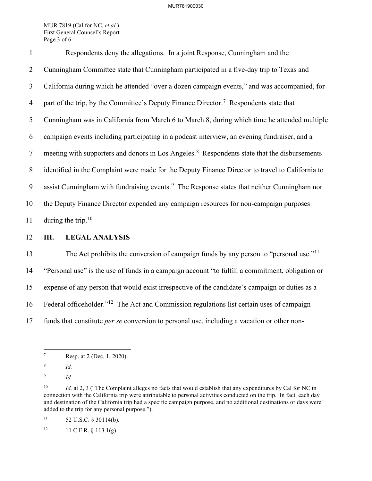MUR 7819 (Cal for NC, *et al.*) First General Counsel's Report Page 3 of 6

1 Respondents deny the allegations. In a joint Response, Cunningham and the 2 Cunningham Committee state that Cunningham participated in a five-day trip to Texas and 3 California during which he attended "over a dozen campaign events," and was accompanied, for 4 part of the trip, by the Committee's Deputy Finance Director.<sup>7</sup> Respondents state that 5 Cunningham was in California from March 6 to March 8, during which time he attended multiple 6 campaign events including participating in a podcast interview, an evening fundraiser, and a 7 meeting with supporters and donors in Los Angeles.<sup>8</sup> Respondents state that the disbursements 8 identified in the Complaint were made for the Deputy Finance Director to travel to California to 9 assist Cunningham with fundraising events.<sup>9</sup> The Response states that neither Cunningham nor 10 the Deputy Finance Director expended any campaign resources for non-campaign purposes 11 during the trip.<sup>10</sup>

12 **III. LEGAL ANALYSIS**

The Act prohibits the conversion of campaign funds by any person to "personal use."<sup>11</sup> 14 "Personal use" is the use of funds in a campaign account "to fulfill a commitment, obligation or 15 expense of any person that would exist irrespective of the candidate's campaign or duties as a 16 Federal officeholder."<sup>12</sup> The Act and Commission regulations list certain uses of campaign 17 funds that constitute *per se* conversion to personal use, including a vacation or other non-

<sup>7</sup> Resp. at 2 (Dec. 1, 2020).

<sup>8</sup> *Id.*

<sup>9</sup> *Id.*

<sup>&</sup>lt;sup>10</sup> *Id.* at 2, 3 ("The Complaint alleges no facts that would establish that any expenditures by Cal for NC in connection with the California trip were attributable to personal activities conducted on the trip. In fact, each day and destination of the California trip had a specific campaign purpose, and no additional destinations or days were added to the trip for any personal purpose.").

 $11$  52 U.S.C. § 30114(b).

 $12$  11 C.F.R. § 113.1(g).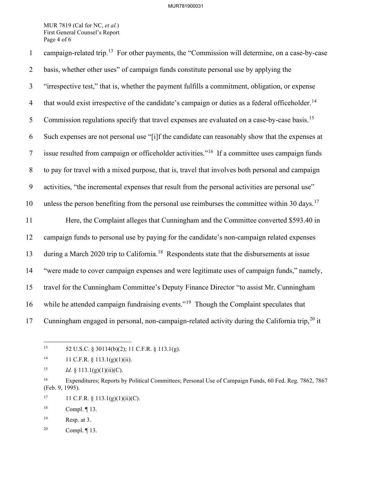## MUR781900031

MUR 7819 (Cal for NC, *et al.*) First General Counsel's Report Page 4 of 6

1 campaign-related trip.<sup>13</sup> For other payments, the "Commission will determine, on a case-by-case 2 basis, whether other uses" of campaign funds constitute personal use by applying the 3 "irrespective test," that is, whether the payment fulfills a commitment, obligation, or expense 4 that would exist irrespective of the candidate's campaign or duties as a federal officeholder.<sup>14</sup> 5 Commission regulations specify that travel expenses are evaluated on a case-by-case basis.<sup>15</sup> 6 Such expenses are not personal use "[i]f the candidate can reasonably show that the expenses at  $\frac{7}{10}$  issue resulted from campaign or officeholder activities."<sup>16</sup> If a committee uses campaign funds 8 to pay for travel with a mixed purpose, that is, travel that involves both personal and campaign 9 activities, "the incremental expenses that result from the personal activities are personal use" 10 unless the person benefiting from the personal use reimburses the committee within 30 days.<sup>17</sup> 11 Here, the Complaint alleges that Cunningham and the Committee converted \$593.40 in 12 campaign funds to personal use by paying for the candidate's non-campaign related expenses 13 during a March 2020 trip to California.<sup>18</sup> Respondents state that the disbursements at issue 14 "were made to cover campaign expenses and were legitimate uses of campaign funds," namely, 15 travel for the Cunningham Committee's Deputy Finance Director "to assist Mr. Cunningham 16 while he attended campaign fundraising events."<sup>19</sup> Though the Complaint speculates that 17 Cunningham engaged in personal, non-campaign-related activity during the California trip,  $^{20}$  it

<sup>15</sup> *Id.* § 113.1(g)(1)(ii)(C).

20 Compl. ¶ 13.

<sup>13 52</sup> U.S.C. § 30114(b)(2); 11 C.F.R. § 113.1(g).

<sup>&</sup>lt;sup>14</sup> 11 C.F.R. § 113.1(g)(1)(ii).

<sup>&</sup>lt;sup>16</sup> Expenditures; Reports by Political Committees; Personal Use of Campaign Funds, 60 Fed. Reg. 7862, 7867 (Feb. 9, 1995).

<sup>&</sup>lt;sup>17</sup> 11 C.F.R. § 113.1(g)(1)(ii)(C).

<sup>18</sup> Compl. ¶ 13.

<sup>19</sup> Resp. at 3.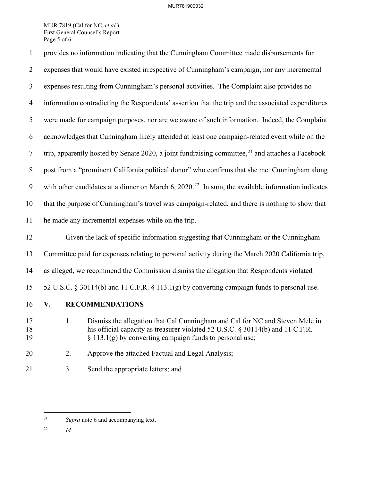## MUR781900032

MUR 7819 (Cal for NC, *et al.*) First General Counsel's Report Page 5 of 6

- 1 provides no information indicating that the Cunningham Committee made disbursements for 2 expenses that would have existed irrespective of Cunningham's campaign, nor any incremental 3 expenses resulting from Cunningham's personal activities. The Complaint also provides no 4 information contradicting the Respondents' assertion that the trip and the associated expenditures 5 were made for campaign purposes, nor are we aware of such information. Indeed, the Complaint 6 acknowledges that Cunningham likely attended at least one campaign-related event while on the 7 trip, apparently hosted by Senate 2020, a joint fundraising committee,  $2^1$  and attaches a Facebook 8 post from a "prominent California political donor" who confirms that she met Cunningham along 9 with other candidates at a dinner on March 6, 2020.<sup>22</sup> In sum, the available information indicates 10 that the purpose of Cunningham's travel was campaign-related, and there is nothing to show that 11 he made any incremental expenses while on the trip. 12 Given the lack of specific information suggesting that Cunningham or the Cunningham 13 Committee paid for expenses relating to personal activity during the March 2020 California trip, 14 as alleged, we recommend the Commission dismiss the allegation that Respondents violated 15 52 U.S.C. § 30114(b) and 11 C.F.R. § 113.1(g) by converting campaign funds to personal use. 16 **V. RECOMMENDATIONS** 17 1. Dismiss the allegation that Cal Cunningham and Cal for NC and Steven Mele in 18 his official capacity as treasurer violated 52 U.S.C. § 30114(b) and 11 C.F.R. 19  $\S 113.1(g)$  by converting campaign funds to personal use;
- 20 2. Approve the attached Factual and Legal Analysis;
- 21 3. Send the appropriate letters; and

22 *Id.*

<sup>21</sup> *Supra* note 6 and accompanying text.